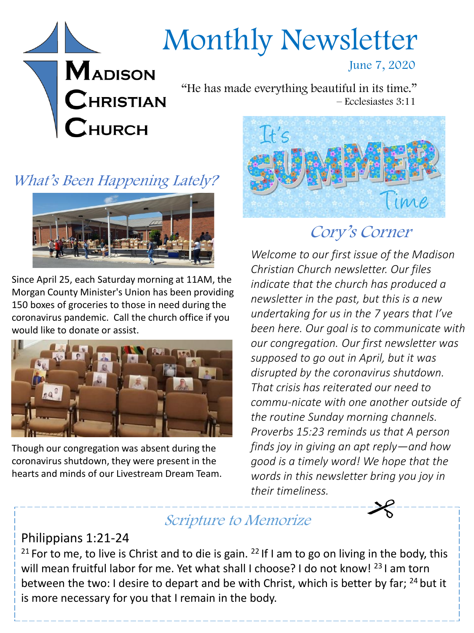# Monthly Newsletter

#### June 7, 2020

"He has made everything beautiful in its time." – Ecclesiastes 3:11



**MADISON** 

 $\mathbf C$ HRISTIAN

**HURCH** 



Since April 25, each Saturday morning at 11AM, the Morgan County Minister's Union has been providing 150 boxes of groceries to those in need during the coronavirus pandemic. Call the church office if you would like to donate or assist.



Though our congregation was absent during the coronavirus shutdown, they were present in the hearts and minds of our Livestream Dream Team.



# Cory's Corner

*Welcome to our first issue of the Madison Christian Church newsletter. Our files indicate that the church has produced a newsletter in the past, but this is a new undertaking for us in the 7 years that I've been here. Our goal is to communicate with our congregation. Our first newsletter was supposed to go out in April, but it was disrupted by the coronavirus shutdown. That crisis has reiterated our need to commu-nicate with one another outside of the routine Sunday morning channels. Proverbs 15:23 reminds us that A person finds joy in giving an apt reply—and how good is a timely word! We hope that the words in this newsletter bring you joy in their timeliness.*

## Scripture to Memorize

## Philippians 1:21-24

<sup>21</sup> For to me, to live is Christ and to die is gain. <sup>22</sup> If I am to go on living in the body, this will mean fruitful labor for me. Yet what shall I choose? I do not know! <sup>23</sup> I am torn between the two: I desire to depart and be with Christ, which is better by far; <sup>24</sup> but it is more necessary for you that I remain in the body.